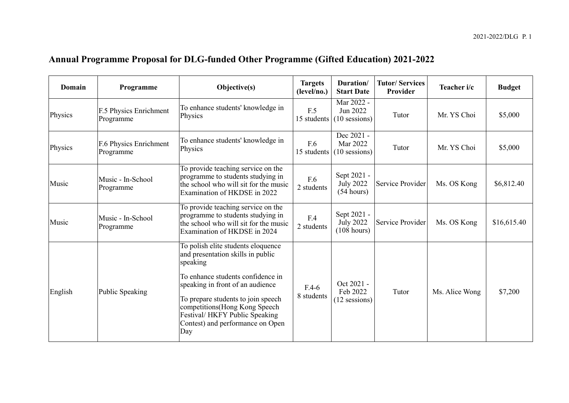## **Annual Programme Proposal for DLG-funded Other Programme (Gifted Education) 2021-2022**

| Domain  | Programme                           | Objective(s)                                                                                                                                                                                                                                                                                                     | <b>Targets</b><br>(level/no.) | Duration/<br><b>Start Date</b>                 | <b>Tutor/Services</b><br>Provider | Teacher i/c    | <b>Budget</b> |
|---------|-------------------------------------|------------------------------------------------------------------------------------------------------------------------------------------------------------------------------------------------------------------------------------------------------------------------------------------------------------------|-------------------------------|------------------------------------------------|-----------------------------------|----------------|---------------|
| Physics | F.5 Physics Enrichment<br>Programme | To enhance students' knowledge in<br>Physics                                                                                                                                                                                                                                                                     | F.5<br>15 students            | Mar 2022 -<br>Jun 2022<br>$(10$ sessions)      | Tutor                             | Mr. YS Choi    | \$5,000       |
| Physics | F.6 Physics Enrichment<br>Programme | To enhance students' knowledge in<br>Physics                                                                                                                                                                                                                                                                     | F.6<br>15 students            | Dec 2021 -<br>Mar 2022<br>$(10$ sessions)      | Tutor                             | Mr. YS Choi    | \$5,000       |
| Music   | Music - In-School<br>Programme      | To provide teaching service on the<br>programme to students studying in<br>the school who will sit for the music<br>Examination of HKDSE in 2022                                                                                                                                                                 | F.6<br>2 students             | Sept 2021 -<br><b>July 2022</b><br>(54 hours)  | Service Provider                  | Ms. OS Kong    | \$6,812.40    |
| Music   | Music - In-School<br>Programme      | To provide teaching service on the<br>programme to students studying in<br>the school who will sit for the music<br>Examination of HKDSE in 2024                                                                                                                                                                 | F.4<br>2 students             | Sept 2021 -<br><b>July 2022</b><br>(108 hours) | Service Provider                  | Ms. OS Kong    | \$16,615.40   |
| English | Public Speaking                     | To polish elite students eloquence<br>and presentation skills in public<br>speaking<br>To enhance students confidence in<br>speaking in front of an audience<br>To prepare students to join speech<br>competitions(Hong Kong Speech<br>Festival/ HKFY Public Speaking<br>Contest) and performance on Open<br>Day | $F.4-6$<br>8 students         | Oct 2021 -<br>Feb 2022<br>$(12$ sessions)      | Tutor                             | Ms. Alice Wong | \$7,200       |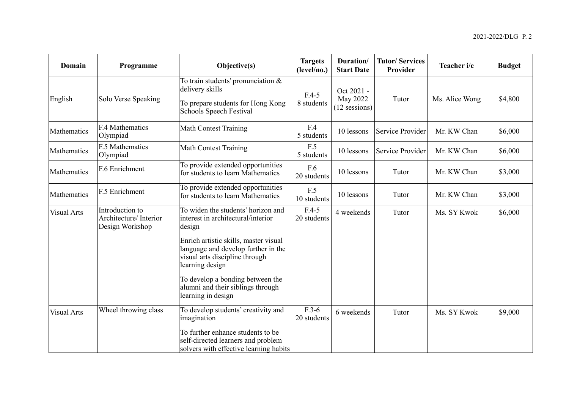| Domain             | Programme                                                    | Objective(s)                                                                                                                                                            | <b>Targets</b><br>(level/no.) | Duration/<br><b>Start Date</b>         | <b>Tutor/Services</b><br>Provider | Teacher i/c    | <b>Budget</b> |
|--------------------|--------------------------------------------------------------|-------------------------------------------------------------------------------------------------------------------------------------------------------------------------|-------------------------------|----------------------------------------|-----------------------------------|----------------|---------------|
| English            | Solo Verse Speaking                                          | To train students' pronunciation $\&$<br>delivery skills<br>To prepare students for Hong Kong<br>Schools Speech Festival                                                | $F.4-5$<br>8 students         | Oct 2021 -<br>May 2022<br>12 sessions) | Tutor                             | Ms. Alice Wong | \$4,800       |
| Mathematics        | F.4 Mathematics<br>Olympiad                                  | <b>Math Contest Training</b>                                                                                                                                            | F.4<br>5 students             | 10 lessons                             | Service Provider                  | Mr. KW Chan    | \$6,000       |
| Mathematics        | F.5 Mathematics<br>Olympiad                                  | <b>Math Contest Training</b>                                                                                                                                            | F.5<br>5 students             | 10 lessons                             | Service Provider                  | Mr. KW Chan    | \$6,000       |
| Mathematics        | F.6 Enrichment                                               | To provide extended opportunities<br>for students to learn Mathematics                                                                                                  | F.6<br>20 students            | 10 lessons                             | Tutor                             | Mr. KW Chan    | \$3,000       |
| Mathematics        | F.5 Enrichment                                               | To provide extended opportunities<br>for students to learn Mathematics                                                                                                  | F.5<br>10 students            | 10 lessons                             | Tutor                             | Mr. KW Chan    | \$3,000       |
| Visual Arts        | Introduction to<br>Architecture/ Interior<br>Design Workshop | To widen the students' horizon and<br>interest in architectural/interior<br>design<br>Enrich artistic skills, master visual<br>language and develop further in the      | $F.4-5$<br>20 students        | 4 weekends                             | Tutor                             | Ms. SY Kwok    | \$6,000       |
|                    |                                                              | visual arts discipline through<br>learning design<br>To develop a bonding between the<br>alumni and their siblings through<br>learning in design                        |                               |                                        |                                   |                |               |
| <b>Visual Arts</b> | Wheel throwing class                                         | To develop students' creativity and<br>imagination<br>To further enhance students to be<br>self-directed learners and problem<br>solvers with effective learning habits | $F.3-6$<br>20 students        | 6 weekends                             | Tutor                             | Ms. SY Kwok    | \$9,000       |